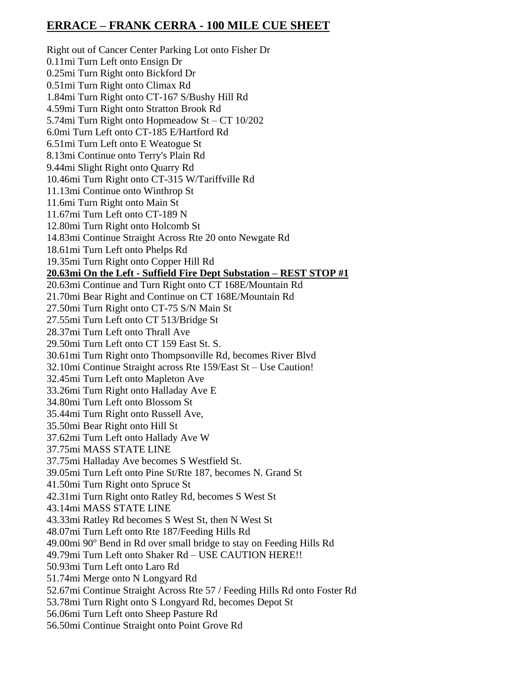## **ERRACE – FRANK CERRA - 100 MILE CUE SHEET**

Right out of Cancer Center Parking Lot onto Fisher Dr 0.11mi Turn Left onto Ensign Dr 0.25mi Turn Right onto Bickford Dr 0.51mi Turn Right onto Climax Rd 1.84mi Turn Right onto CT-167 S/Bushy Hill Rd 4.59mi Turn Right onto Stratton Brook Rd 5.74mi Turn Right onto Hopmeadow St – CT 10/202 6.0mi Turn Left onto CT-185 E/Hartford Rd 6.51mi Turn Left onto E Weatogue St 8.13mi Continue onto Terry's Plain Rd 9.44mi Slight Right onto Quarry Rd 10.46mi Turn Right onto CT-315 W/Tariffville Rd 11.13mi Continue onto Winthrop St 11.6mi Turn Right onto Main St 11.67mi Turn Left onto CT-189 N 12.80mi Turn Right onto Holcomb St 14.83mi Continue Straight Across Rte 20 onto Newgate Rd 18.61mi Turn Left onto Phelps Rd 19.35mi Turn Right onto Copper Hill Rd **20.63mi On the Left - Suffield Fire Dept Substation – REST STOP #1** 20.63mi Continue and Turn Right onto CT 168E/Mountain Rd 21.70mi Bear Right and Continue on CT 168E/Mountain Rd 27.50mi Turn Right onto CT-75 S/N Main St 27.55mi Turn Left onto CT 513/Bridge St 28.37mi Turn Left onto Thrall Ave 29.50mi Turn Left onto CT 159 East St. S. 30.61mi Turn Right onto Thompsonville Rd, becomes River Blvd 32.10mi Continue Straight across Rte 159/East St – Use Caution! 32.45mi Turn Left onto Mapleton Ave 33.26mi Turn Right onto Halladay Ave E 34.80mi Turn Left onto Blossom St 35.44mi Turn Right onto Russell Ave, 35.50mi Bear Right onto Hill St 37.62mi Turn Left onto Hallady Ave W 37.75mi MASS STATE LINE 37.75mi Halladay Ave becomes S Westfield St. 39.05mi Turn Left onto Pine St/Rte 187, becomes N. Grand St 41.50mi Turn Right onto Spruce St 42.31mi Turn Right onto Ratley Rd, becomes S West St 43.14mi MASS STATE LINE 43.33mi Ratley Rd becomes S West St, then N West St 48.07mi Turn Left onto Rte 187/Feeding Hills Rd 49.00mi 90° Bend in Rd over small bridge to stay on Feeding Hills Rd 49.79mi Turn Left onto Shaker Rd – USE CAUTION HERE!! 50.93mi Turn Left onto Laro Rd 51.74mi Merge onto N Longyard Rd 52.67mi Continue Straight Across Rte 57 / Feeding Hills Rd onto Foster Rd 53.78mi Turn Right onto S Longyard Rd, becomes Depot St 56.06mi Turn Left onto Sheep Pasture Rd 56.50mi Continue Straight onto Point Grove Rd